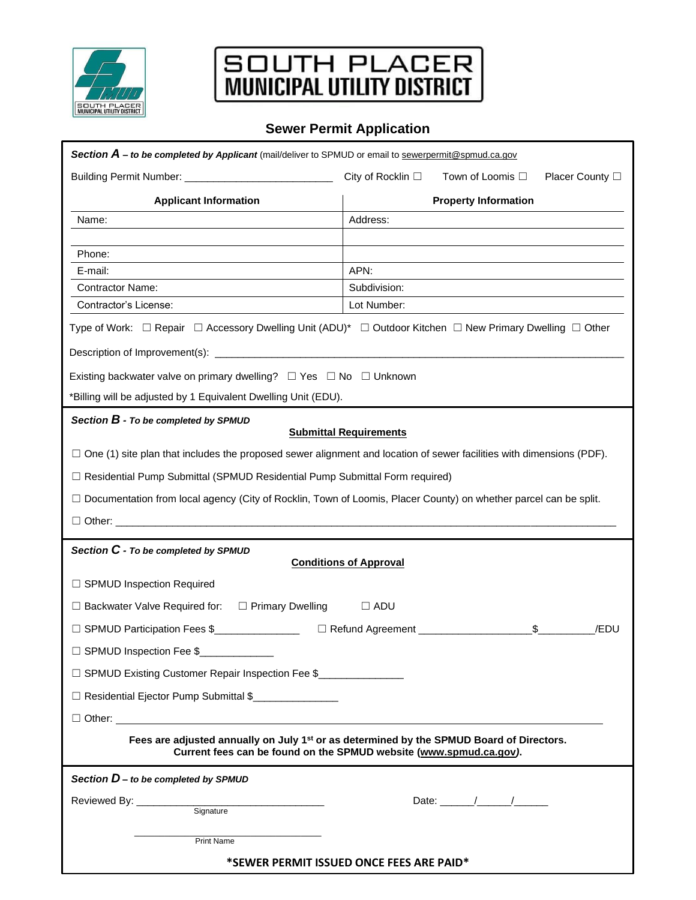

## SOUTH PLACER

## **Sewer Permit Application**

| Section A - to be completed by Applicant (mail/deliver to SPMUD or email to sewerpermit@spmud.ca.gov                                                                       |                                                          |
|----------------------------------------------------------------------------------------------------------------------------------------------------------------------------|----------------------------------------------------------|
|                                                                                                                                                                            | City of Rocklin □<br>Town of Loomis □<br>Placer County □ |
| <b>Applicant Information</b>                                                                                                                                               | <b>Property Information</b>                              |
| Name:                                                                                                                                                                      | Address:                                                 |
|                                                                                                                                                                            |                                                          |
| Phone:<br>E-mail:                                                                                                                                                          | APN:                                                     |
| <b>Contractor Name:</b>                                                                                                                                                    | Subdivision:                                             |
| Contractor's License:                                                                                                                                                      | Lot Number:                                              |
| Type of Work: □ Repair □ Accessory Dwelling Unit (ADU)* □ Outdoor Kitchen □ New Primary Dwelling □ Other                                                                   |                                                          |
|                                                                                                                                                                            |                                                          |
| Existing backwater valve on primary dwelling? $\Box$ Yes $\Box$ No $\Box$ Unknown                                                                                          |                                                          |
| *Billing will be adjusted by 1 Equivalent Dwelling Unit (EDU).                                                                                                             |                                                          |
| Section $B$ - To be completed by SPMUD                                                                                                                                     |                                                          |
| <b>Submittal Requirements</b>                                                                                                                                              |                                                          |
| $\Box$ One (1) site plan that includes the proposed sewer alignment and location of sewer facilities with dimensions (PDF).                                                |                                                          |
| □ Residential Pump Submittal (SPMUD Residential Pump Submittal Form required)                                                                                              |                                                          |
| □ Documentation from local agency (City of Rocklin, Town of Loomis, Placer County) on whether parcel can be split.                                                         |                                                          |
|                                                                                                                                                                            |                                                          |
| Section C - To be completed by SPMUD<br><b>Conditions of Approval</b>                                                                                                      |                                                          |
| □ SPMUD Inspection Required                                                                                                                                                |                                                          |
|                                                                                                                                                                            |                                                          |
| $\Box$ Backwater Valve Required for: $\Box$ Primary Dwelling                                                                                                               | $\Box$ ADU                                               |
| □ SPMUD Participation Fees \$<br>□ SPMUD Participation Fees \$                                                                                                             | Refund Agreement ____________<br>$\mathbb{S}$<br>/EDU    |
| □ SPMUD Inspection Fee \$                                                                                                                                                  |                                                          |
| □ SPMUD Existing Customer Repair Inspection Fee \$_______________________________                                                                                          |                                                          |
| □ Residential Ejector Pump Submittal \$                                                                                                                                    |                                                          |
| $\Box$ Other:                                                                                                                                                              |                                                          |
| Fees are adjusted annually on July 1 <sup>st</sup> or as determined by the SPMUD Board of Directors.<br>Current fees can be found on the SPMUD website (www.spmud.ca.gov). |                                                          |
| Section $D$ – to be completed by SPMUD                                                                                                                                     |                                                          |
| Date: $\frac{1}{\sqrt{2\pi}}$                                                                                                                                              |                                                          |
|                                                                                                                                                                            |                                                          |
| Print Name                                                                                                                                                                 |                                                          |
| *SEWER PERMIT ISSUED ONCE FEES ARE PAID*                                                                                                                                   |                                                          |